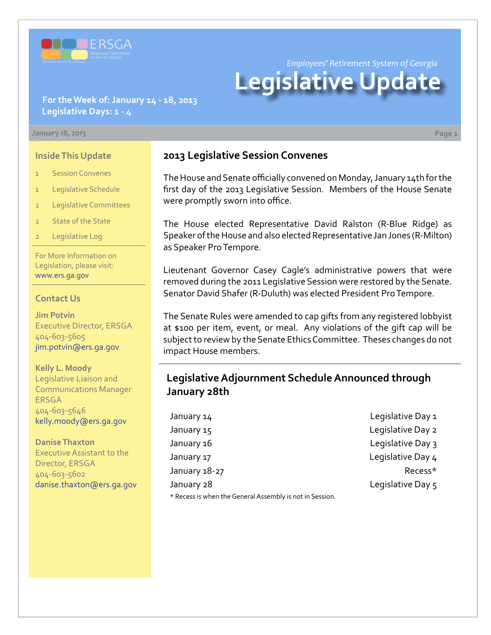

*Employees' Retirement System of Georgia*

# **Legislative Update**

**For the Week of: January 14 - 18, 2013 Legislative Days: 1 - 4**

#### **January 18, 2013 Page 1**

#### **Inside This Update**

- 1 Session Convenes
- 1 Legislative Schedule
- 2 Legislative Committees
- 2 State of the State
- Legislative Log

For More Information on Legislation, please visit: [www.ers.ga.gov](http://www.ers.ga.gov/default.aspx)

#### **Contact Us**

**Jim Potvin** Executive Director, ERSGA 404-603-5605 jim.potvin@ers.ga.gov

**Kelly L. Moody** Legislative Liaison and Communications Manager ERSGA 404-603-5646 kelly.moody@ers.ga.gov

**Danise Thaxton** Executive Assistant to the Director, ERSGA 404-603-5602 danise.thaxton@ers.ga.gov

## **2013 Legislative Session Convenes**

The House and Senate officially convened on Monday, January 14th for the first day of the 2013 Legislative Session. Members of the House Senate were promptly sworn into office.

The House elected Representative David Ralston (R-Blue Ridge) as Speaker of the House and also elected Representative Jan Jones (R-Milton) as Speaker Pro Tempore.

Lieutenant Governor Casey Cagle's administrative powers that were removed during the 2011 Legislative Session were restored by the Senate. Senator David Shafer (R-Duluth) was elected President Pro Tempore.

The Senate Rules were amended to cap gifts from any registered lobbyist at \$100 per item, event, or meal. Any violations of the gift cap will be subject to review by the Senate Ethics Committee. Theses changes do not impact House members.

## **Legislative Adjournment Schedule Announced through January 28th**

January 14 Legislative Day 1 January 15 **Legislative Day 2** January 16 Legislative Day 3 January 17 **Legislative Day 4** January 18-27 **Recess**\* January 28 Legislative Day 5

\* Recess is when the General Assembly is not in Session.